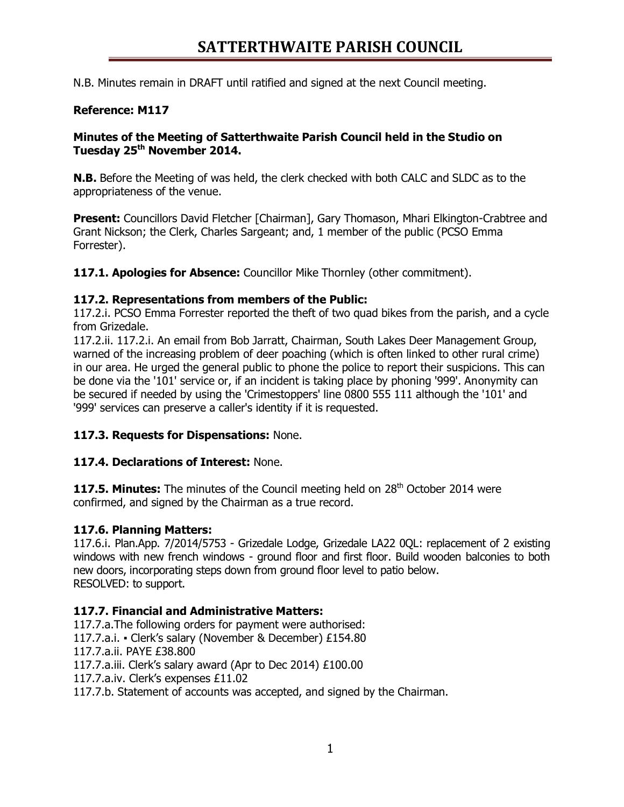# **SATTERTHWAITE PARISH COUNCIL**

N.B. Minutes remain in DRAFT until ratified and signed at the next Council meeting.

### **Reference: M117**

#### **Minutes of the Meeting of Satterthwaite Parish Council held in the Studio on Tuesday 25 th November 2014.**

**N.B.** Before the Meeting of was held, the clerk checked with both CALC and SLDC as to the appropriateness of the venue.

**Present:** Councillors David Fletcher [Chairman], Gary Thomason, Mhari Elkington-Crabtree and Grant Nickson; the Clerk, Charles Sargeant; and, 1 member of the public (PCSO Emma Forrester).

**117.1. Apologies for Absence:** Councillor Mike Thornley (other commitment).

#### **117.2. Representations from members of the Public:**

117.2.i. PCSO Emma Forrester reported the theft of two quad bikes from the parish, and a cycle from Grizedale.

117.2.ii. 117.2.i. An email from Bob Jarratt, Chairman, South Lakes Deer Management Group, warned of the increasing problem of deer poaching (which is often linked to other rural crime) in our area. He urged the general public to phone the police to report their suspicions. This can be done via the '101' service or, if an incident is taking place by phoning '999'. Anonymity can be secured if needed by using the 'Crimestoppers' line 0800 555 111 although the '101' and '999' services can preserve a caller's identity if it is requested.

#### **117.3. Requests for Dispensations:** None.

#### **117.4. Declarations of Interest:** None.

**117.5. Minutes:** The minutes of the Council meeting held on 28<sup>th</sup> October 2014 were confirmed, and signed by the Chairman as a true record.

## **117.6. Planning Matters:**

117.6.i. Plan.App. 7/2014/5753 - Grizedale Lodge, Grizedale LA22 0QL: replacement of 2 existing windows with new french windows - ground floor and first floor. Build wooden balconies to both new doors, incorporating steps down from ground floor level to patio below. RESOLVED: to support.

#### **117.7. Financial and Administrative Matters:**

117.7.a.The following orders for payment were authorised: 117.7.a.i. • Clerk's salary (November & December) £154.80 117.7.a.ii. PAYE £38.800 117.7.a.iii. Clerk's salary award (Apr to Dec 2014) £100.00 117.7.a.iv. Clerk's expenses £11.02 117.7.b. Statement of accounts was accepted, and signed by the Chairman.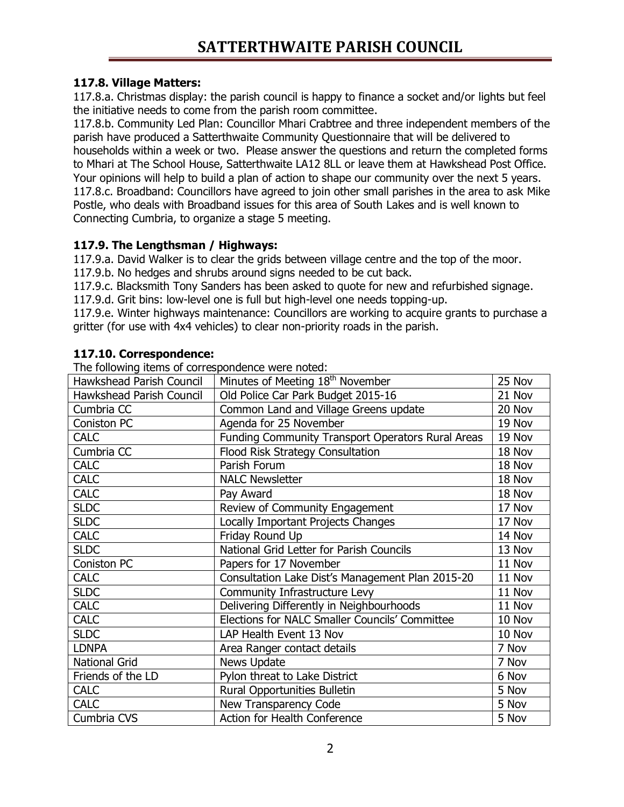## **117.8. Village Matters:**

117.8.a. Christmas display: the parish council is happy to finance a socket and/or lights but feel the initiative needs to come from the parish room committee.

117.8.b. Community Led Plan: Councillor Mhari Crabtree and three independent members of the parish have produced a Satterthwaite Community Questionnaire that will be delivered to households within a week or two. Please answer the questions and return the completed forms to Mhari at The School House, Satterthwaite LA12 8LL or leave them at Hawkshead Post Office. Your opinions will help to build a plan of action to shape our community over the next 5 years. 117.8.c. Broadband: Councillors have agreed to join other small parishes in the area to ask Mike Postle, who deals with Broadband issues for this area of South Lakes and is well known to Connecting Cumbria, to organize a stage 5 meeting.

## **117.9. The Lengthsman / Highways:**

117.9.a. David Walker is to clear the grids between village centre and the top of the moor.

117.9.b. No hedges and shrubs around signs needed to be cut back.

117.9.c. Blacksmith Tony Sanders has been asked to quote for new and refurbished signage.

117.9.d. Grit bins: low-level one is full but high-level one needs topping-up.

117.9.e. Winter highways maintenance: Councillors are working to acquire grants to purchase a gritter (for use with 4x4 vehicles) to clear non-priority roads in the parish.

# **117.10. Correspondence:**

The following items of correspondence were noted:

| a renorming redirio or correspondence from the co                        |                                                   |        |
|--------------------------------------------------------------------------|---------------------------------------------------|--------|
| Minutes of Meeting 18 <sup>th</sup> November<br>Hawkshead Parish Council |                                                   | 25 Nov |
| Hawkshead Parish Council                                                 | Old Police Car Park Budget 2015-16                | 21 Nov |
| Cumbria CC                                                               | Common Land and Village Greens update             | 20 Nov |
| Coniston PC                                                              | Agenda for 25 November                            | 19 Nov |
| <b>CALC</b>                                                              | Funding Community Transport Operators Rural Areas |        |
| Cumbria CC                                                               | Flood Risk Strategy Consultation                  |        |
| <b>CALC</b>                                                              | Parish Forum                                      | 18 Nov |
| <b>CALC</b>                                                              | <b>NALC Newsletter</b>                            | 18 Nov |
| <b>CALC</b>                                                              | Pay Award                                         | 18 Nov |
| <b>SLDC</b>                                                              | Review of Community Engagement                    | 17 Nov |
| <b>SLDC</b>                                                              | Locally Important Projects Changes                | 17 Nov |
| <b>CALC</b>                                                              | Friday Round Up                                   | 14 Nov |
| <b>SLDC</b>                                                              | National Grid Letter for Parish Councils          | 13 Nov |
| Coniston PC                                                              | Papers for 17 November                            | 11 Nov |
| <b>CALC</b>                                                              | Consultation Lake Dist's Management Plan 2015-20  | 11 Nov |
| <b>SLDC</b>                                                              | Community Infrastructure Levy                     | 11 Nov |
| <b>CALC</b>                                                              | Delivering Differently in Neighbourhoods          | 11 Nov |
| <b>CALC</b>                                                              | Elections for NALC Smaller Councils' Committee    | 10 Nov |
| <b>SLDC</b>                                                              | LAP Health Event 13 Nov                           | 10 Nov |
| <b>LDNPA</b>                                                             | Area Ranger contact details                       | 7 Nov  |
| <b>National Grid</b>                                                     | News Update                                       | 7 Nov  |
| Friends of the LD                                                        | Pylon threat to Lake District                     | 6 Nov  |
| <b>CALC</b>                                                              | Rural Opportunities Bulletin                      | 5 Nov  |
| <b>CALC</b>                                                              | New Transparency Code                             | 5 Nov  |
| Cumbria CVS                                                              | Action for Health Conference                      | 5 Nov  |